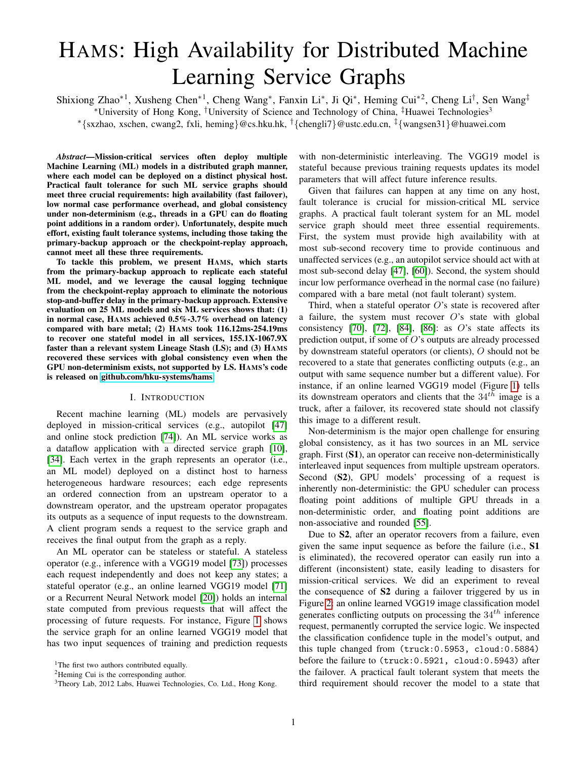# HAMS: High Availability for Distributed Machine Learning Service Graphs

Shixiong Zhao<sup>∗1</sup>, Xusheng Chen<sup>∗1</sup>, Cheng Wang<sup>∗</sup>, Fanxin Li<sup>∗</sup>, Ji Qi<sup>∗</sup>, Heming Cui<sup>∗2</sup>, Cheng Li<sup>†</sup>, Sen Wang<sup>‡</sup>

<sup>∗</sup>University of Hong Kong, †University of Science and Technology of China, ‡Huawei Technologies<sup>3</sup>

<sup>∗</sup>{sxzhao, xschen, cwang2, fxli, heming}@cs.hku.hk, †{chengli7}@ustc.edu.cn, ‡{wangsen31}@huawei.com

*Abstract*—Mission-critical services often deploy multiple Machine Learning (ML) models in a distributed graph manner, where each model can be deployed on a distinct physical host. Practical fault tolerance for such ML service graphs should meet three crucial requirements: high availability (fast failover), low normal case performance overhead, and global consistency under non-determinism (e.g., threads in a GPU can do floating point additions in a random order). Unfortunately, despite much effort, existing fault tolerance systems, including those taking the primary-backup approach or the checkpoint-replay approach, cannot meet all these three requirements.

To tackle this problem, we present HAMS, which starts from the primary-backup approach to replicate each stateful ML model, and we leverage the causal logging technique from the checkpoint-replay approach to eliminate the notorious stop-and-buffer delay in the primary-backup approach. Extensive evaluation on 25 ML models and six ML services shows that: (1) in normal case, HAMS achieved 0.5%-3.7% overhead on latency compared with bare metal; (2) HAMS took 116.12ms-254.19ms to recover one stateful model in all services, 155.1X-1067.9X faster than a relevant system Lineage Stash (LS); and (3) HAMS recovered these services with global consistency even when the GPU non-determinism exists, not supported by LS. HAMS's code is released on [github.com/hku-systems/hams.](github.com/hku-systems/hams)

# I. INTRODUCTION

<span id="page-0-0"></span>Recent machine learning (ML) models are pervasively deployed in mission-critical services (e.g., autopilot [\[47\]](#page-12-0) and online stock prediction [\[74\]](#page-12-1)). An ML service works as a dataflow application with a directed service graph [\[10\]](#page-11-0), [\[34\]](#page-11-1). Each vertex in the graph represents an operator (i.e., an ML model) deployed on a distinct host to harness heterogeneous hardware resources; each edge represents an ordered connection from an upstream operator to a downstream operator, and the upstream operator propagates its outputs as a sequence of input requests to the downstream. A client program sends a request to the service graph and receives the final output from the graph as a reply.

An ML operator can be stateless or stateful. A stateless operator (e.g., inference with a VGG19 model [\[73\]](#page-12-2)) processes each request independently and does not keep any states; a stateful operator (e.g., an online learned VGG19 model [\[71\]](#page-12-3) or a Recurrent Neural Network model [\[20\]](#page-11-2)) holds an internal state computed from previous requests that will affect the processing of future requests. For instance, Figure [1](#page-1-0) shows the service graph for an online learned VGG19 model that has two input sequences of training and prediction requests

with non-deterministic interleaving. The VGG19 model is stateful because previous training requests updates its model parameters that will affect future inference results.

Given that failures can happen at any time on any host, fault tolerance is crucial for mission-critical ML service graphs. A practical fault tolerant system for an ML model service graph should meet three essential requirements. First, the system must provide high availability with at most sub-second recovery time to provide continuous and unaffected services (e.g., an autopilot service should act with at most sub-second delay [\[47\]](#page-12-0), [\[60\]](#page-12-4)). Second, the system should incur low performance overhead in the normal case (no failure) compared with a bare metal (not fault tolerant) system.

Third, when a stateful operator  $O$ 's state is recovered after a failure, the system must recover  $O$ 's state with global consistency [\[70\]](#page-12-5), [\[72\]](#page-12-6), [\[84\]](#page-12-7), [\[86\]](#page-12-8): as  $O$ 's state affects its prediction output, if some of  $O$ 's outputs are already processed by downstream stateful operators (or clients), O should not be recovered to a state that generates conflicting outputs (e.g., an output with same sequence number but a different value). For instance, if an online learned VGG19 model (Figure [1\)](#page-1-0) tells its downstream operators and clients that the  $34<sup>th</sup>$  image is a truck, after a failover, its recovered state should not classify this image to a different result.

Non-determinism is the major open challenge for ensuring global consistency, as it has two sources in an ML service graph. First (S1), an operator can receive non-deterministically interleaved input sequences from multiple upstream operators. Second (S2), GPU models' processing of a request is inherently non-deterministic: the GPU scheduler can process floating point additions of multiple GPU threads in a non-deterministic order, and floating point additions are non-associative and rounded [\[55\]](#page-12-9).

Due to S2, after an operator recovers from a failure, even given the same input sequence as before the failure (i.e., S1 is eliminated), the recovered operator can easily run into a different (inconsistent) state, easily leading to disasters for mission-critical services. We did an experiment to reveal the consequence of S2 during a failover triggered by us in Figure [2:](#page-1-0) an online learned VGG19 image classification model generates conflicting outputs on processing the  $34<sup>th</sup>$  inference request, permanently corrupted the service logic. We inspected the classification confidence tuple in the model's output, and this tuple changed from (truck:0.5953, cloud:0.5884) before the failure to (truck:0.5921, cloud:0.5943) after the failover. A practical fault tolerant system that meets the third requirement should recover the model to a state that

<sup>&</sup>lt;sup>1</sup>The first two authors contributed equally.

<sup>2</sup>Heming Cui is the corresponding author.

<sup>3</sup>Theory Lab, 2012 Labs, Huawei Technologies, Co. Ltd., Hong Kong.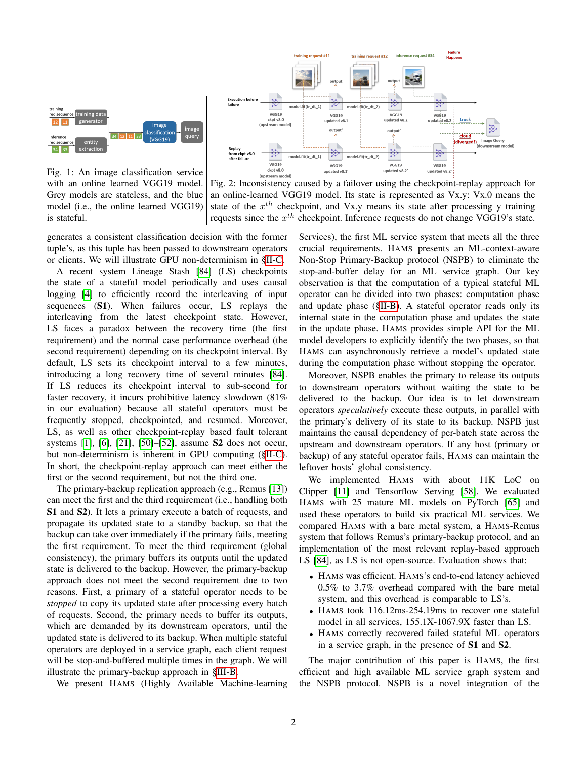<span id="page-1-0"></span>

Fig. 1: An image classification service with an online learned VGG19 model. Grey models are stateless, and the blue model (i.e., the online learned VGG19) is stateful.



Fig. 2: Inconsistency caused by a failover using the checkpoint-replay approach for an online-learned VGG19 model. Its state is represented as Vx.y: Vx.0 means the state of the  $x^{th}$  checkpoint, and Vx.y means its state after processing y training requests since the  $x^{th}$  checkpoint. Inference requests do not change VGG19's state.

generates a consistent classification decision with the former tuple's, as this tuple has been passed to downstream operators or clients. We will illustrate GPU non-determinism in [§II-C.](#page-2-0)

A recent system Lineage Stash [\[84\]](#page-12-7) (LS) checkpoints the state of a stateful model periodically and uses causal logging [\[4\]](#page-11-3) to efficiently record the interleaving of input sequences (S1). When failures occur, LS replays the interleaving from the latest checkpoint state. However, LS faces a paradox between the recovery time (the first requirement) and the normal case performance overhead (the second requirement) depending on its checkpoint interval. By default, LS sets its checkpoint interval to a few minutes, introducing a long recovery time of several minutes [\[84\]](#page-12-7). If LS reduces its checkpoint interval to sub-second for faster recovery, it incurs prohibitive latency slowdown (81% in our evaluation) because all stateful operators must be frequently stopped, checkpointed, and resumed. Moreover, LS, as well as other checkpoint-replay based fault tolerant systems [\[1\]](#page-11-4), [\[6\]](#page-11-5), [\[21\]](#page-11-6), [\[50\]](#page-12-10)–[\[52\]](#page-12-11), assume S2 does not occur, but non-determinism is inherent in GPU computing ([§II-C\)](#page-2-0). In short, the checkpoint-replay approach can meet either the first or the second requirement, but not the third one.

The primary-backup replication approach (e.g., Remus [\[13\]](#page-11-7)) can meet the first and the third requirement (i.e., handling both S1 and S2). It lets a primary execute a batch of requests, and propagate its updated state to a standby backup, so that the backup can take over immediately if the primary fails, meeting the first requirement. To meet the third requirement (global consistency), the primary buffers its outputs until the updated state is delivered to the backup. However, the primary-backup approach does not meet the second requirement due to two reasons. First, a primary of a stateful operator needs to be *stopped* to copy its updated state after processing every batch of requests. Second, the primary needs to buffer its outputs, which are demanded by its downstream operators, until the updated state is delivered to its backup. When multiple stateful operators are deployed in a service graph, each client request will be stop-and-buffered multiple times in the graph. We will illustrate the primary-backup approach in [§III-B.](#page-3-0)

We present HAMS (Highly Available Machine-learning

Services), the first ML service system that meets all the three crucial requirements. HAMS presents an ML-context-aware Non-Stop Primary-Backup protocol (NSPB) to eliminate the stop-and-buffer delay for an ML service graph. Our key observation is that the computation of a typical stateful ML operator can be divided into two phases: computation phase and update phase ([§II-B\)](#page-2-1). A stateful operator reads only its internal state in the computation phase and updates the state in the update phase. HAMS provides simple API for the ML model developers to explicitly identify the two phases, so that HAMS can asynchronously retrieve a model's updated state during the computation phase without stopping the operator.

Moreover, NSPB enables the primary to release its outputs to downstream operators without waiting the state to be delivered to the backup. Our idea is to let downstream operators *speculatively* execute these outputs, in parallel with the primary's delivery of its state to its backup. NSPB just maintains the causal dependency of per-batch state across the upstream and downstream operators. If any host (primary or backup) of any stateful operator fails, HAMS can maintain the leftover hosts' global consistency.

We implemented HAMS with about 11K LoC on Clipper [\[11\]](#page-11-8) and Tensorflow Serving [\[58\]](#page-12-12). We evaluated HAMS with 25 mature ML models on PyTorch [\[65\]](#page-12-13) and used these operators to build six practical ML services. We compared HAMS with a bare metal system, a HAMS-Remus system that follows Remus's primary-backup protocol, and an implementation of the most relevant replay-based approach LS [\[84\]](#page-12-7), as LS is not open-source. Evaluation shows that:

- HAMS was efficient. HAMS's end-to-end latency achieved 0.5% to 3.7% overhead compared with the bare metal system, and this overhead is comparable to LS's.
- HAMS took 116.12ms-254.19ms to recover one stateful model in all services, 155.1X-1067.9X faster than LS.
- HAMS correctly recovered failed stateful ML operators in a service graph, in the presence of S1 and S2.

The major contribution of this paper is HAMS, the first efficient and high available ML service graph system and the NSPB protocol. NSPB is a novel integration of the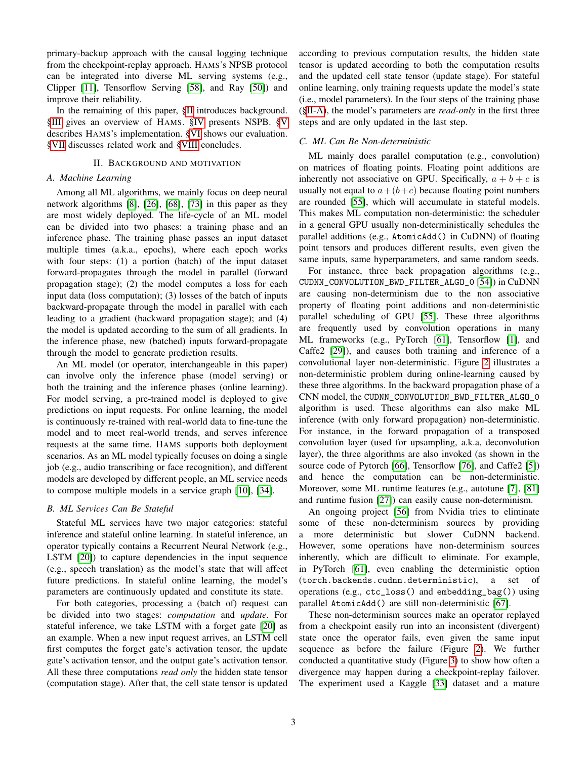primary-backup approach with the causal logging technique from the checkpoint-replay approach. HAMS's NPSB protocol can be integrated into diverse ML serving systems (e.g., Clipper [\[11\]](#page-11-8), Tensorflow Serving [\[58\]](#page-12-12), and Ray [\[50\]](#page-12-10)) and improve their reliability.

In the remaining of this paper, [§II](#page-2-2) introduces background. [§III](#page-3-1) gives an overview of HAMS. [§IV](#page-4-0) presents NSPB. [§V](#page-7-0) describes HAMS's implementation. [§VI](#page-7-1) shows our evaluation. [§VII](#page-10-0) discusses related work and [§VIII](#page-10-1) concludes.

# II. BACKGROUND AND MOTIVATION

# <span id="page-2-3"></span><span id="page-2-2"></span>*A. Machine Learning*

Among all ML algorithms, we mainly focus on deep neural network algorithms [\[8\]](#page-11-9), [\[26\]](#page-11-10), [\[68\]](#page-12-14), [\[73\]](#page-12-2) in this paper as they are most widely deployed. The life-cycle of an ML model can be divided into two phases: a training phase and an inference phase. The training phase passes an input dataset multiple times (a.k.a., epochs), where each epoch works with four steps: (1) a portion (batch) of the input dataset forward-propagates through the model in parallel (forward propagation stage); (2) the model computes a loss for each input data (loss computation); (3) losses of the batch of inputs backward-propagate through the model in parallel with each leading to a gradient (backward propagation stage); and (4) the model is updated according to the sum of all gradients. In the inference phase, new (batched) inputs forward-propagate through the model to generate prediction results.

An ML model (or operator, interchangeable in this paper) can involve only the inference phase (model serving) or both the training and the inference phases (online learning). For model serving, a pre-trained model is deployed to give predictions on input requests. For online learning, the model is continuously re-trained with real-world data to fine-tune the model and to meet real-world trends, and serves inference requests at the same time. HAMS supports both deployment scenarios. As an ML model typically focuses on doing a single job (e.g., audio transcribing or face recognition), and different models are developed by different people, an ML service needs to compose multiple models in a service graph [\[10\]](#page-11-0), [\[34\]](#page-11-1).

# <span id="page-2-1"></span>*B. ML Services Can Be Stateful*

Stateful ML services have two major categories: stateful inference and stateful online learning. In stateful inference, an operator typically contains a Recurrent Neural Network (e.g., LSTM [\[20\]](#page-11-2)) to capture dependencies in the input sequence (e.g., speech translation) as the model's state that will affect future predictions. In stateful online learning, the model's parameters are continuously updated and constitute its state.

For both categories, processing a (batch of) request can be divided into two stages: *computation* and *update*. For stateful inference, we take LSTM with a forget gate [\[20\]](#page-11-2) as an example. When a new input request arrives, an LSTM cell first computes the forget gate's activation tensor, the update gate's activation tensor, and the output gate's activation tensor. All these three computations *read only* the hidden state tensor (computation stage). After that, the cell state tensor is updated according to previous computation results, the hidden state tensor is updated according to both the computation results and the updated cell state tensor (update stage). For stateful online learning, only training requests update the model's state (i.e., model parameters). In the four steps of the training phase ([§II-A\)](#page-2-3), the model's parameters are *read-only* in the first three steps and are only updated in the last step.

# <span id="page-2-0"></span>*C. ML Can Be Non-deterministic*

ML mainly does parallel computation (e.g., convolution) on matrices of floating points. Floating point additions are inherently not associative on GPU. Specifically,  $a + b + c$  is usually not equal to  $a+(b+c)$  because floating point numbers are rounded [\[55\]](#page-12-9), which will accumulate in stateful models. This makes ML computation non-deterministic: the scheduler in a general GPU usually non-deterministically schedules the parallel additions (e.g., AtomicAdd() in CuDNN) of floating point tensors and produces different results, even given the same inputs, same hyperparameters, and same random seeds.

For instance, three back propagation algorithms (e.g., CUDNN\_CONVOLUTION\_BWD\_FILTER\_ALGO\_0 [\[54\]](#page-12-15)) in CuDNN are causing non-determinism due to the non associative property of floating point additions and non-deterministic parallel scheduling of GPU [\[55\]](#page-12-9). These three algorithms are frequently used by convolution operations in many ML frameworks (e.g., PyTorch [\[61\]](#page-12-16), Tensorflow [\[1\]](#page-11-4), and Caffe2 [\[29\]](#page-11-11)), and causes both training and inference of a convolutional layer non-deterministic. Figure [2](#page-1-0) illustrates a non-deterministic problem during online-learning caused by these three algorithms. In the backward propagation phase of a CNN model, the CUDNN\_CONVOLUTION\_BWD\_FILTER\_ALGO\_0 algorithm is used. These algorithms can also make ML inference (with only forward propagation) non-deterministic. For instance, in the forward propagation of a transposed convolution layer (used for upsampling, a.k.a, deconvolution layer), the three algorithms are also invoked (as shown in the source code of Pytorch [\[66\]](#page-12-17), Tensorflow [\[76\]](#page-12-18), and Caffe2 [\[5\]](#page-11-12)) and hence the computation can be non-deterministic. Moreover, some ML runtime features (e.g., autotune [\[7\]](#page-11-13), [\[81\]](#page-12-19) and runtime fusion [\[27\]](#page-11-14)) can easily cause non-determinism.

An ongoing project [\[56\]](#page-12-20) from Nvidia tries to eliminate some of these non-determinism sources by providing a more deterministic but slower CuDNN backend. However, some operations have non-determinism sources inherently, which are difficult to eliminate. For example, in PyTorch [\[61\]](#page-12-16), even enabling the deterministic option (torch.backends.cudnn.deterministic), a set of operations (e.g., ctc\_loss() and embedding\_bag()) using parallel AtomicAdd() are still non-deterministic [\[67\]](#page-12-21).

These non-determinism sources make an operator replayed from a checkpoint easily run into an inconsistent (divergent) state once the operator fails, even given the same input sequence as before the failure (Figure [2\)](#page-1-0). We further conducted a quantitative study (Figure [3\)](#page-3-2) to show how often a divergence may happen during a checkpoint-replay failover. The experiment used a Kaggle [\[33\]](#page-11-15) dataset and a mature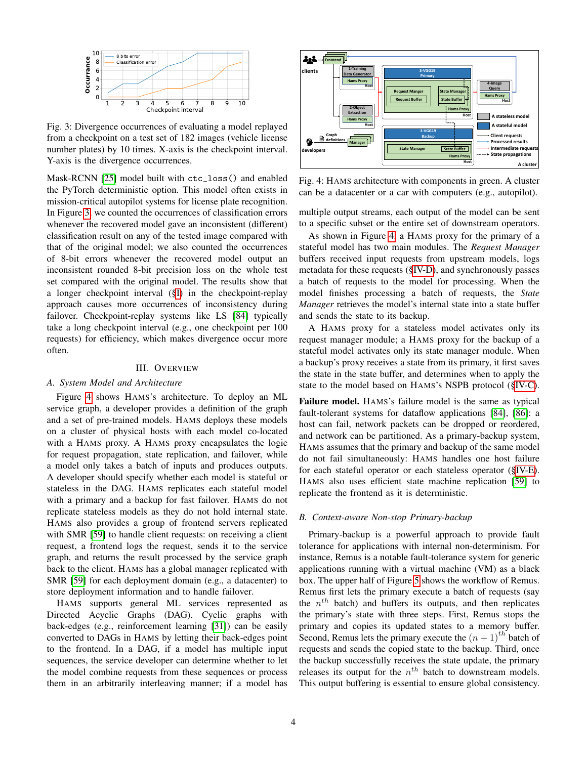<span id="page-3-2"></span>

Fig. 3: Divergence occurrences of evaluating a model replayed from a checkpoint on a test set of 182 images (vehicle license number plates) by 10 times. X-axis is the checkpoint interval. Y-axis is the divergence occurrences.

Mask-RCNN [\[25\]](#page-11-16) model built with ctc\_loss() and enabled the PyTorch deterministic option. This model often exists in mission-critical autopilot systems for license plate recognition. In Figure [3,](#page-3-2) we counted the occurrences of classification errors whenever the recovered model gave an inconsistent (different) classification result on any of the tested image compared with that of the original model; we also counted the occurrences of 8-bit errors whenever the recovered model output an inconsistent rounded 8-bit precision loss on the whole test set compared with the original model. The results show that a longer checkpoint interval ([§I\)](#page-0-0) in the checkpoint-replay approach causes more occurrences of inconsistency during failover. Checkpoint-replay systems like LS [\[84\]](#page-12-7) typically take a long checkpoint interval (e.g., one checkpoint per 100 requests) for efficiency, which makes divergence occur more often.

## III. OVERVIEW

# <span id="page-3-4"></span><span id="page-3-1"></span>*A. System Model and Architecture*

Figure [4](#page-3-3) shows HAMS's architecture. To deploy an ML service graph, a developer provides a definition of the graph and a set of pre-trained models. HAMS deploys these models on a cluster of physical hosts with each model co-located with a HAMS proxy. A HAMS proxy encapsulates the logic for request propagation, state replication, and failover, while a model only takes a batch of inputs and produces outputs. A developer should specify whether each model is stateful or stateless in the DAG. HAMS replicates each stateful model with a primary and a backup for fast failover. HAMS do not replicate stateless models as they do not hold internal state. HAMS also provides a group of frontend servers replicated with SMR [\[59\]](#page-12-22) to handle client requests: on receiving a client request, a frontend logs the request, sends it to the service graph, and returns the result processed by the service graph back to the client. HAMS has a global manager replicated with SMR [\[59\]](#page-12-22) for each deployment domain (e.g., a datacenter) to store deployment information and to handle failover.

HAMS supports general ML services represented as Directed Acyclic Graphs (DAG). Cyclic graphs with back-edges (e.g., reinforcement learning [\[31\]](#page-11-17)) can be easily converted to DAGs in HAMS by letting their back-edges point to the frontend. In a DAG, if a model has multiple input sequences, the service developer can determine whether to let the model combine requests from these sequences or process them in an arbitrarily interleaving manner; if a model has

<span id="page-3-3"></span>

Fig. 4: HAMS architecture with components in green. A cluster can be a datacenter or a car with computers (e.g., autopilot).

multiple output streams, each output of the model can be sent to a specific subset or the entire set of downstream operators.

As shown in Figure [4,](#page-3-3) a HAMS proxy for the primary of a stateful model has two main modules. The *Request Manager* buffers received input requests from upstream models, logs metadata for these requests ([§IV-D\)](#page-5-0), and synchronously passes a batch of requests to the model for processing. When the model finishes processing a batch of requests, the *State Manager* retrieves the model's internal state into a state buffer and sends the state to its backup.

A HAMS proxy for a stateless model activates only its request manager module; a HAMS proxy for the backup of a stateful model activates only its state manager module. When a backup's proxy receives a state from its primary, it first saves the state in the state buffer, and determines when to apply the state to the model based on HAMS's NSPB protocol ([§IV-C\)](#page-4-1).

Failure model. HAMS's failure model is the same as typical fault-tolerant systems for dataflow applications [\[84\]](#page-12-7), [\[86\]](#page-12-8): a host can fail, network packets can be dropped or reordered, and network can be partitioned. As a primary-backup system, HAMS assumes that the primary and backup of the same model do not fail simultaneously: HAMS handles one host failure for each stateful operator or each stateless operator ([§IV-E\)](#page-6-0). HAMS also uses efficient state machine replication [\[59\]](#page-12-22) to replicate the frontend as it is deterministic.

## <span id="page-3-0"></span>*B. Context-aware Non-stop Primary-backup*

Primary-backup is a powerful approach to provide fault tolerance for applications with internal non-determinism. For instance, Remus is a notable fault-tolerance system for generic applications running with a virtual machine (VM) as a black box. The upper half of Figure [5](#page-4-2) shows the workflow of Remus. Remus first lets the primary execute a batch of requests (say the  $n^{th}$  batch) and buffers its outputs, and then replicates the primary's state with three steps. First, Remus stops the primary and copies its updated states to a memory buffer. Second, Remus lets the primary execute the  $(n + 1)$ <sup>th</sup> batch of requests and sends the copied state to the backup. Third, once the backup successfully receives the state update, the primary releases its output for the  $n^{th}$  batch to downstream models. This output buffering is essential to ensure global consistency.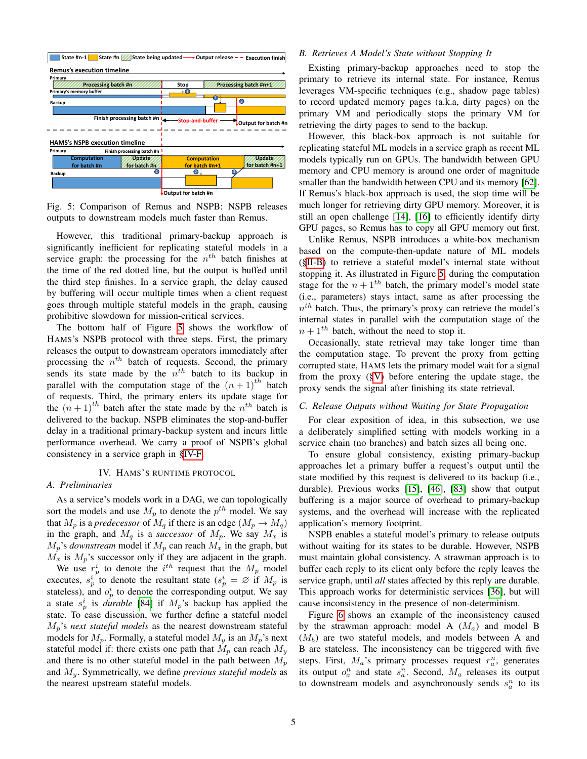<span id="page-4-2"></span>

Fig. 5: Comparison of Remus and NSPB: NSPB releases outputs to downstream models much faster than Remus.

However, this traditional primary-backup approach is significantly inefficient for replicating stateful models in a service graph: the processing for the  $n^{th}$  batch finishes at the time of the red dotted line, but the output is buffed until the third step finishes. In a service graph, the delay caused by buffering will occur multiple times when a client request goes through multiple stateful models in the graph, causing prohibitive slowdown for mission-critical services.

The bottom half of Figure [5](#page-4-2) shows the workflow of HAMS's NSPB protocol with three steps. First, the primary releases the output to downstream operators immediately after processing the  $n^{th}$  batch of requests. Second, the primary sends its state made by the  $n^{th}$  batch to its backup in parallel with the computation stage of the  $(n+1)$ <sup>th</sup> batch of requests. Third, the primary enters its update stage for the  $(n+1)$ <sup>th</sup> batch after the state made by the  $n^{th}$  batch is delivered to the backup. NSPB eliminates the stop-and-buffer delay in a traditional primary-backup system and incurs little performance overhead. We carry a proof of NSPB's global consistency in a service graph in [§IV-F.](#page-6-1)

# IV. HAMS'S RUNTIME PROTOCOL

## <span id="page-4-3"></span><span id="page-4-0"></span>*A. Preliminaries*

As a service's models work in a DAG, we can topologically sort the models and use  $M_p$  to denote the  $p^{th}$  model. We say that  $M_p$  is a *predecessor* of  $M_q$  if there is an edge  $(M_p \rightarrow M_q)$ in the graph, and  $M_q$  is a *successor* of  $M_p$ . We say  $M_x$  is  $M_p$ 's *downstream* model if  $M_p$  can reach  $M_x$  in the graph, but  $M_x$  is  $M_p$ 's successor only if they are adjacent in the graph. We use  $r_p^i$  to denote the  $i^{th}$  request that the  $M_p$  model executes,  $s_p^i$  to denote the resultant state  $(s_p^i = \emptyset \text{ if } M_p \text{ is }$ stateless), and  $o_p^i$  to denote the corresponding output. We say a state  $s_p^i$  is *durable* [\[84\]](#page-12-7) if  $M_p$ 's backup has applied the state. To ease discussion, we further define a stateful model Mp's *next stateful models* as the nearest downstream stateful models for  $M_p$ . Formally, a stateful model  $M_y$  is an  $M_p$ 's next stateful model if: there exists one path that  $M_p$  can reach  $M_p$ and there is no other stateful model in the path between  $M_p$ and My. Symmetrically, we define *previous stateful models* as the nearest upstream stateful models.

## <span id="page-4-4"></span>*B. Retrieves A Model's State without Stopping It*

Existing primary-backup approaches need to stop the primary to retrieve its internal state. For instance, Remus leverages VM-specific techniques (e.g., shadow page tables) to record updated memory pages (a.k.a, dirty pages) on the primary VM and periodically stops the primary VM for retrieving the dirty pages to send to the backup.

However, this black-box approach is not suitable for replicating stateful ML models in a service graph as recent ML models typically run on GPUs. The bandwidth between GPU memory and CPU memory is around one order of magnitude smaller than the bandwidth between CPU and its memory [\[62\]](#page-12-23). If Remus's black-box approach is used, the stop time will be much longer for retrieving dirty GPU memory. Moreover, it is still an open challenge [\[14\]](#page-11-18), [\[16\]](#page-11-19) to efficiently identify dirty GPU pages, so Remus has to copy all GPU memory out first.

Unlike Remus, NSPB introduces a white-box mechanism based on the compute-then-update nature of ML models ([§II-B\)](#page-2-1) to retrieve a stateful model's internal state without stopping it. As illustrated in Figure [5,](#page-4-2) during the computation stage for the  $n + 1<sup>th</sup>$  batch, the primary model's model state (i.e., parameters) stays intact, same as after processing the  $n<sup>th</sup>$  batch. Thus, the primary's proxy can retrieve the model's internal states in parallel with the computation stage of the  $n + 1$ <sup>th</sup> batch, without the need to stop it.

Occasionally, state retrieval may take longer time than the computation stage. To prevent the proxy from getting corrupted state, HAMS lets the primary model wait for a signal from the proxy ([§V\)](#page-7-0) before entering the update stage, the proxy sends the signal after finishing its state retrieval.

## <span id="page-4-1"></span>*C. Release Outputs without Waiting for State Propagation*

For clear exposition of idea, in this subsection, we use a deliberately simplified setting with models working in a service chain (no branches) and batch sizes all being one.

To ensure global consistency, existing primary-backup approaches let a primary buffer a request's output until the state modified by this request is delivered to its backup (i.e., durable). Previous works [\[15\]](#page-11-20), [\[46\]](#page-12-24), [\[83\]](#page-12-25) show that output buffering is a major source of overhead to primary-backup systems, and the overhead will increase with the replicated application's memory footprint.

NSPB enables a stateful model's primary to release outputs without waiting for its states to be durable. However, NSPB must maintain global consistency. A strawman approach is to buffer each reply to its client only before the reply leaves the service graph, until *all* states affected by this reply are durable. This approach works for deterministic services [\[36\]](#page-11-21), but will cause inconsistency in the presence of non-determinism.

Figure [6](#page-5-1) shows an example of the inconsistency caused by the strawman approach: model A  $(M_a)$  and model B  $(M_b)$  are two stateful models, and models between A and B are stateless. The inconsistency can be triggered with five steps. First,  $M_a$ 's primary processes request  $r_a^n$ , generates its output  $o_a^n$  and state  $s_a^n$ . Second,  $M_a$  releases its output to downstream models and asynchronously sends  $s_a^n$  to its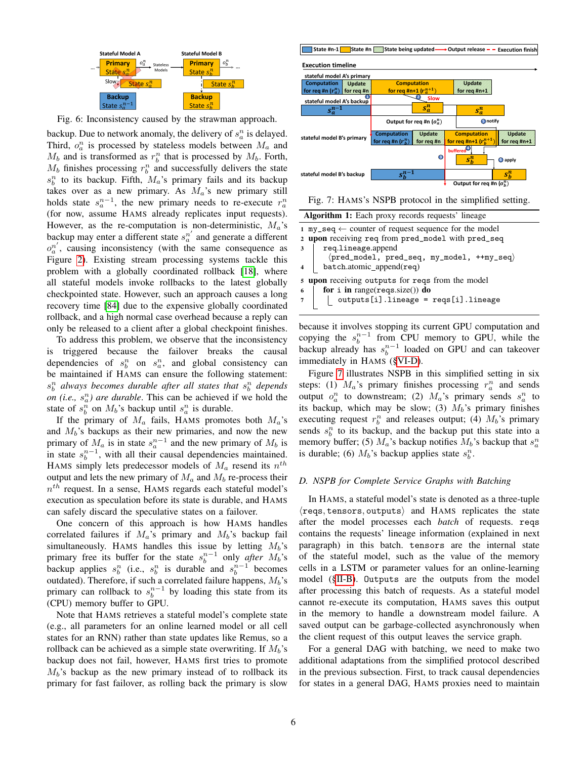<span id="page-5-1"></span>

Fig. 6: Inconsistency caused by the strawman approach.

backup. Due to network anomaly, the delivery of  $s_a^n$  is delayed. Third,  $o_a^n$  is processed by stateless models between  $M_a$  and  $M_b$  and is transformed as  $r_b^n$  that is processed by  $M_b$ . Forth,  $M_b$  finishes processing  $r_b^n$  and successfully delivers the state  $s_b^n$  to its backup. Fifth,  $M_a$ 's primary fails and its backup takes over as a new primary. As  $M_a$ 's new primary still holds state  $s_a^{n-1}$ , the new primary needs to re-execute  $r_a^n$ (for now, assume HAMS already replicates input requests). However, as the re-computation is non-deterministic,  $M_a$ 's backup may enter a different state  $s_n^{n'}$  and generate a different  $o_n^{n'}$ , causing inconsistency (with the same consequence as Figure [2\)](#page-1-0). Existing stream processing systems tackle this problem with a globally coordinated rollback [\[18\]](#page-11-22), where all stateful models invoke rollbacks to the latest globally checkpointed state. However, such an approach causes a long recovery time [\[84\]](#page-12-7) due to the expensive globally coordinated rollback, and a high normal case overhead because a reply can only be released to a client after a global checkpoint finishes.

To address this problem, we observe that the inconsistency is triggered because the failover breaks the causal dependencies of  $s_b^n$  on  $s_a^n$ , and global consistency can be maintained if HAMS can ensure the following statement:  $s_b^n$  always becomes durable after all states that  $s_b^n$  depends *on (i.e.,*  $s_a^n$ *) are durable.* This can be achieved if we hold the state of  $s_b^n$  on  $M_b$ 's backup until  $s_a^n$  is durable.

If the primary of  $M_a$  fails, HAMS promotes both  $M_a$ 's and  $M_b$ 's backups as their new primaries, and now the new primary of  $M_a$  is in state  $s_a^{n-1}$  and the new primary of  $M_b$  is in state  $s_b^{n-1}$ , with all their causal dependencies maintained. HAMS simply lets predecessor models of  $M_a$  resend its  $n^{th}$ output and lets the new primary of  $M_a$  and  $M_b$  re-process their  $n^{th}$  request. In a sense, HAMS regards each stateful model's execution as speculation before its state is durable, and HAMS can safely discard the speculative states on a failover.

One concern of this approach is how HAMS handles correlated failures if  $M_a$ 's primary and  $M_b$ 's backup fail simultaneously. HAMS handles this issue by letting  $M_b$ 's primary free its buffer for the state  $s_b^{n-1}$  only *after*  $M_b$ 's backup applies  $s_b^n$  (i.e.,  $s_b^n$  is durable and  $s_b^{n-1}$  becomes outdated). Therefore, if such a correlated failure happens,  $M_b$ 's primary can rollback to  $s_b^{n-1}$  by loading this state from its (CPU) memory buffer to GPU.

Note that HAMS retrieves a stateful model's complete state (e.g., all parameters for an online learned model or all cell states for an RNN) rather than state updates like Remus, so a rollback can be achieved as a simple state overwriting. If  $M_b$ 's backup does not fail, however, HAMS first tries to promote  $M_b$ 's backup as the new primary instead of to rollback its primary for fast failover, as rolling back the primary is slow

<span id="page-5-2"></span>

Fig. 7: HAMS's NSPB protocol in the simplified setting.

| Algorithm 1: Each proxy records requests' lineage               |  |  |  |  |
|-----------------------------------------------------------------|--|--|--|--|
| 1 my_seq $\leftarrow$ counter of request sequence for the model |  |  |  |  |
| 2 upon receiving req from pred_model with pred_seq              |  |  |  |  |
| req.lineage.append<br>3                                         |  |  |  |  |
| $\langle pred\_model, pred\_seq, my\_model, ++my\_seq \rangle$  |  |  |  |  |
| batch.atomic_append(req)                                        |  |  |  |  |
| upon receiving outputs for reqs from the model<br>5             |  |  |  |  |
| for $i$ in range(reqs.size()) do<br>6                           |  |  |  |  |
| $\vert$ outputs[i].lineage = reqs[i].lineage                    |  |  |  |  |
|                                                                 |  |  |  |  |

<span id="page-5-3"></span>because it involves stopping its current GPU computation and copying the  $s_b^{n-1}$  from CPU memory to GPU, while the backup already has  $s_b^{n-1}$  loaded on GPU and can takeover immediately in HAMS ([§VI-D\)](#page-9-0).

Figure [7](#page-5-2) illustrates NSPB in this simplified setting in six steps: (1)  $M_a$ 's primary finishes processing  $r_a^n$  and sends output  $o_a^n$  to downstream; (2)  $M_a$ 's primary sends  $s_a^n$  to its backup, which may be slow; (3)  $M_b$ 's primary finishes executing request  $r_b^n$  and releases output; (4)  $M_b$ 's primary sends  $s_b^n$  to its backup, and the backup put this state into a memory buffer; (5)  $M_a$ 's backup notifies  $M_b$ 's backup that  $s_a^n$ is durable; (6)  $M_b$ 's backup applies state  $s_b^n$ .

# <span id="page-5-0"></span>*D. NSPB for Complete Service Graphs with Batching*

In HAMS, a stateful model's state is denoted as a three-tuple  $\langle$ reqs, tensors, outputs $\rangle$  and HAMS replicates the state after the model processes each *batch* of requests. reqs contains the requests' lineage information (explained in next paragraph) in this batch. tensors are the internal state of the stateful model, such as the value of the memory cells in a LSTM or parameter values for an online-learning model ([§II-B\)](#page-2-1). Outputs are the outputs from the model after processing this batch of requests. As a stateful model cannot re-execute its computation, HAMS saves this output in the memory to handle a downstream model failure. A saved output can be garbage-collected asynchronously when the client request of this output leaves the service graph.

For a general DAG with batching, we need to make two additional adaptations from the simplified protocol described in the previous subsection. First, to track causal dependencies for states in a general DAG, HAMS proxies need to maintain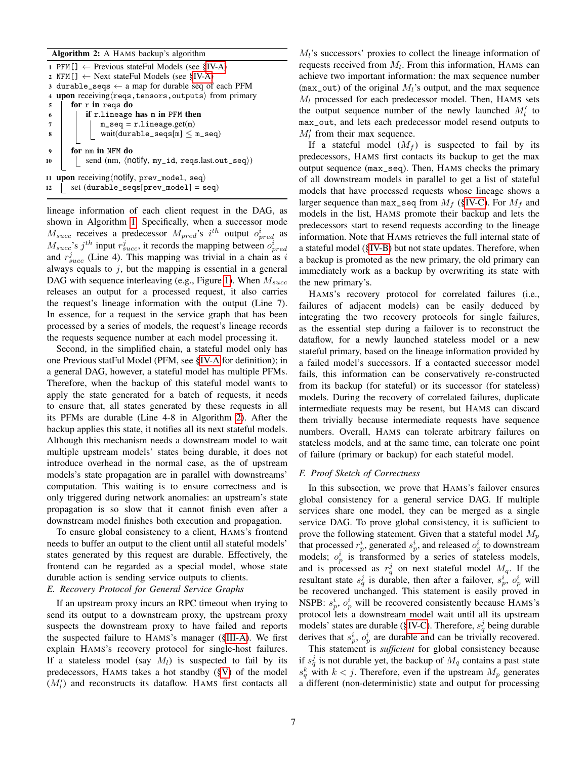## Algorithm 2: A HAMS backup's algorithm

|                         | 1 PFM[] $\leftarrow$ Previous stateFul Models (see §IV-A)                     |  |  |  |  |  |
|-------------------------|-------------------------------------------------------------------------------|--|--|--|--|--|
|                         | 2 NFM[] $\leftarrow$ Next stateFul Models (see §IV-A)                         |  |  |  |  |  |
|                         | 3 durable_seqs $\leftarrow$ a map for durable seq of each PFM                 |  |  |  |  |  |
| $\overline{\mathbf{4}}$ | <b>upon</b> receiving $\langle$ reqs, tensors, outputs $\rangle$ from primary |  |  |  |  |  |
| 5                       | for r in regs do                                                              |  |  |  |  |  |
| 6                       | if r.lineage has m in PFM then                                                |  |  |  |  |  |
| 7                       | $m$ _seq = $r$ .lineage.get(m)                                                |  |  |  |  |  |
| 8                       | wait(durable_seqs[m] $\leq$ m_seq)                                            |  |  |  |  |  |
|                         |                                                                               |  |  |  |  |  |
| 9                       | for nm in NFM do                                                              |  |  |  |  |  |
| 10                      | send (nm, $\langle$ notify, my_id, reqs.last.out_seq $\rangle$ )              |  |  |  |  |  |
|                         |                                                                               |  |  |  |  |  |
| 11                      | upon receiving (notify, $prev_model$ , $seq$ )                                |  |  |  |  |  |
| 12                      | $set (durable_seqs[prev_model] = seq)$                                        |  |  |  |  |  |

<span id="page-6-2"></span>lineage information of each client request in the DAG, as shown in Algorithm [1.](#page-5-3) Specifically, when a successor mode  $M_{succ}$  receives a predecessor  $M_{pred}$ 's i<sup>th</sup> output  $o_{pred}^i$  as  $M_{succ}$ 's  $j^{th}$  input  $r_{succ}^j$ , it records the mapping between  $o_{pred}^i$ and  $r_{succ}^{j}$  (Line 4). This mapping was trivial in a chain as i always equals to  $j$ , but the mapping is essential in a general DAG with sequence interleaving (e.g., Figure [1\)](#page-1-0). When  $M_{succ}$ releases an output for a processed request, it also carries the request's lineage information with the output (Line 7). In essence, for a request in the service graph that has been processed by a series of models, the request's lineage records the requests sequence number at each model processing it.

Second, in the simplified chain, a stateful model only has one Previous statFul Model (PFM, see [§IV-A](#page-4-3) for definition); in a general DAG, however, a stateful model has multiple PFMs. Therefore, when the backup of this stateful model wants to apply the state generated for a batch of requests, it needs to ensure that, all states generated by these requests in all its PFMs are durable (Line 4-8 in Algorithm [2\)](#page-6-2). After the backup applies this state, it notifies all its next stateful models. Although this mechanism needs a downstream model to wait multiple upstream models' states being durable, it does not introduce overhead in the normal case, as the of upstream models's state propagation are in parallel with downstreams' computation. This waiting is to ensure correctness and is only triggered during network anomalies: an upstream's state propagation is so slow that it cannot finish even after a downstream model finishes both execution and propagation.

To ensure global consistency to a client, HAMS's frontend needs to buffer an output to the client until all stateful models' states generated by this request are durable. Effectively, the frontend can be regarded as a special model, whose state durable action is sending service outputs to clients.

# <span id="page-6-0"></span>*E. Recovery Protocol for General Service Graphs*

If an upstream proxy incurs an RPC timeout when trying to send its output to a downstream proxy, the upstream proxy suspects the downstream proxy to have failed and reports the suspected failure to HAMS's manager ([§III-A\)](#page-3-4). We first explain HAMS's recovery protocol for single-host failures. If a stateless model (say  $M_l$ ) is suspected to fail by its predecessors, HAMS takes a hot standby ([§V\)](#page-7-0) of the model  $(M'_l)$  and reconstructs its dataflow. HAMS first contacts all

 $M_l$ 's successors' proxies to collect the lineage information of requests received from  $M_l$ . From this information, HAMS can achieve two important information: the max sequence number (max\_out) of the original  $M_l$ 's output, and the max sequence  $M_l$  processed for each predecessor model. Then, HAMS sets the output sequence number of the newly launched  $M_l'$  to max\_out, and lets each predecessor model resend outputs to  $M_l'$  from their max sequence.

If a stateful model  $(M_f)$  is suspected to fail by its predecessors, HAMS first contacts its backup to get the max output sequence (max\_seq). Then, HAMS checks the primary of all downstream models in parallel to get a list of stateful models that have processed requests whose lineage shows a larger sequence than max\_seq from  $M_f$  ([§IV-C\)](#page-4-1). For  $M_f$  and models in the list, HAMS promote their backup and lets the predecessors start to resend requests according to the lineage information. Note that HAMS retrieves the full internal state of a stateful model ([§IV-B\)](#page-4-4) but not state updates. Therefore, when a backup is promoted as the new primary, the old primary can immediately work as a backup by overwriting its state with the new primary's.

HAMS's recovery protocol for correlated failures (i.e., failures of adjacent models) can be easily deduced by integrating the two recovery protocols for single failures, as the essential step during a failover is to reconstruct the dataflow, for a newly launched stateless model or a new stateful primary, based on the lineage information provided by a failed model's successors. If a contacted successor model fails, this information can be conservatively re-constructed from its backup (for stateful) or its successor (for stateless) models. During the recovery of correlated failures, duplicate intermediate requests may be resent, but HAMS can discard them trivially because intermediate requests have sequence numbers. Overall, HAMS can tolerate arbitrary failures on stateless models, and at the same time, can tolerate one point of failure (primary or backup) for each stateful model.

## <span id="page-6-1"></span>*F. Proof Sketch of Correctness*

In this subsection, we prove that HAMS's failover ensures global consistency for a general service DAG. If multiple services share one model, they can be merged as a single service DAG. To prove global consistency, it is sufficient to prove the following statement. Given that a stateful model  $M_p$ that processed  $r_p^i$ , generated  $s_p^i$ , and released  $o_p^i$  to downstream models;  $o_p^i$  is transformed by a series of stateless models, and is processed as  $r_q^j$  on next stateful model  $M_q$ . If the resultant state  $s_q^j$  is durable, then after a failover,  $s_p^i$ ,  $o_p^i$  will be recovered unchanged. This statement is easily proved in NSPB:  $s_p^i$ ,  $o_p^i$  will be recovered consistently because HAMS's protocol lets a downstream model wait until all its upstream models' states are durable ([§IV-C\)](#page-4-1). Therefore,  $s_q^j$  being durable derives that  $s_p^i$ ,  $o_p^i$  are durable and can be trivially recovered.

This statement is *sufficient* for global consistency because if  $s_q^j$  is not durable yet, the backup of  $M_q$  contains a past state  $s_q^k$  with  $k < j$ . Therefore, even if the upstream  $M_p$  generates a different (non-deterministic) state and output for processing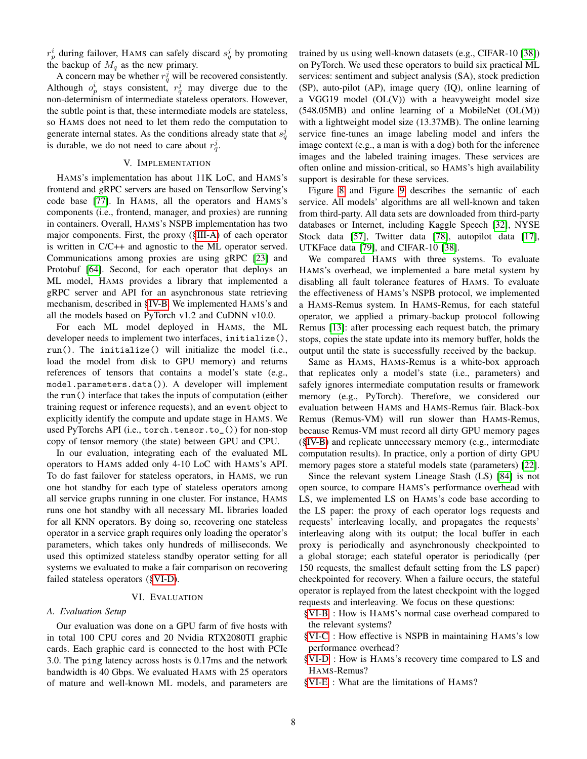$r_p^i$  during failover, HAMS can safely discard  $s_q^j$  by promoting the backup of  $M<sub>q</sub>$  as the new primary.

A concern may be whether  $r_q^j$  will be recovered consistently. Although  $o_p^i$  stays consistent,  $r_q^j$  may diverge due to the non-determinism of intermediate stateless operators. However, the subtle point is that, these intermediate models are stateless, so HAMS does not need to let them redo the computation to generate internal states. As the conditions already state that  $s_q^j$ is durable, we do not need to care about  $r_q^j$ .

## V. IMPLEMENTATION

<span id="page-7-0"></span>HAMS's implementation has about 11K LoC, and HAMS's frontend and gRPC servers are based on Tensorflow Serving's code base [\[77\]](#page-12-26). In HAMS, all the operators and HAMS's components (i.e., frontend, manager, and proxies) are running in containers. Overall, HAMS's NSPB implementation has two major components. First, the proxy ([§III-A\)](#page-3-4) of each operator is written in C/C++ and agnostic to the ML operator served. Communications among proxies are using gRPC [\[23\]](#page-11-23) and Protobuf [\[64\]](#page-12-27). Second, for each operator that deploys an ML model, HAMS provides a library that implemented a gRPC server and API for an asynchronous state retrieving mechanism, described in [§IV-B.](#page-4-4) We implemented HAMS's and all the models based on PyTorch v1.2 and CuDNN v10.0.

For each ML model deployed in HAMS, the ML developer needs to implement two interfaces, initialize(), run(). The initialize() will initialize the model (i.e., load the model from disk to GPU memory) and returns references of tensors that contains a model's state (e.g., model.parameters.data()). A developer will implement the run() interface that takes the inputs of computation (either training request or inference requests), and an event object to explicitly identify the compute and update stage in HAMS. We used PyTorchs API (i.e., torch.tensor.to\_()) for non-stop copy of tensor memory (the state) between GPU and CPU.

In our evaluation, integrating each of the evaluated ML operators to HAMS added only 4-10 LoC with HAMS's API. To do fast failover for stateless operators, in HAMS, we run one hot standby for each type of stateless operators among all service graphs running in one cluster. For instance, HAMS runs one hot standby with all necessary ML libraries loaded for all KNN operators. By doing so, recovering one stateless operator in a service graph requires only loading the operator's parameters, which takes only hundreds of milliseconds. We used this optimized stateless standby operator setting for all systems we evaluated to make a fair comparison on recovering failed stateless operators ([§VI-D\)](#page-9-0).

# VI. EVALUATION

### <span id="page-7-1"></span>*A. Evaluation Setup*

Our evaluation was done on a GPU farm of five hosts with in total 100 CPU cores and 20 Nvidia RTX2080TI graphic cards. Each graphic card is connected to the host with PCIe 3.0. The ping latency across hosts is 0.17ms and the network bandwidth is 40 Gbps. We evaluated HAMS with 25 operators of mature and well-known ML models, and parameters are trained by us using well-known datasets (e.g., CIFAR-10 [\[38\]](#page-11-24)) on PyTorch. We used these operators to build six practical ML services: sentiment and subject analysis (SA), stock prediction (SP), auto-pilot (AP), image query (IQ), online learning of a VGG19 model (OL(V)) with a heavyweight model size  $(548.05MB)$  and online learning of a MobileNet  $(OL(M))$ with a lightweight model size (13.37MB). The online learning service fine-tunes an image labeling model and infers the image context (e.g., a man is with a dog) both for the inference images and the labeled training images. These services are often online and mission-critical, so HAMS's high availability support is desirable for these services.

Figure [8](#page-8-0) and Figure [9](#page-8-0) describes the semantic of each service. All models' algorithms are all well-known and taken from third-party. All data sets are downloaded from third-party databases or Internet, including Kaggle Speech [\[32\]](#page-11-25), NYSE Stock data [\[57\]](#page-12-28), Twitter data [\[78\]](#page-12-29), autopilot data [\[17\]](#page-11-26), UTKFace data [\[79\]](#page-12-30), and CIFAR-10 [\[38\]](#page-11-24).

We compared HAMS with three systems. To evaluate HAMS's overhead, we implemented a bare metal system by disabling all fault tolerance features of HAMS. To evaluate the effectiveness of HAMS's NSPB protocol, we implemented a HAMS-Remus system. In HAMS-Remus, for each stateful operator, we applied a primary-backup protocol following Remus [\[13\]](#page-11-7): after processing each request batch, the primary stops, copies the state update into its memory buffer, holds the output until the state is successfully received by the backup.

Same as HAMS, HAMS-Remus is a white-box approach that replicates only a model's state (i.e., parameters) and safely ignores intermediate computation results or framework memory (e.g., PyTorch). Therefore, we considered our evaluation between HAMS and HAMS-Remus fair. Black-box Remus (Remus-VM) will run slower than HAMS-Remus, because Remus-VM must record all dirty GPU memory pages ([§IV-B\)](#page-4-4) and replicate unnecessary memory (e.g., intermediate computation results). In practice, only a portion of dirty GPU memory pages store a stateful models state (parameters) [\[22\]](#page-11-27).

Since the relevant system Lineage Stash (LS) [\[84\]](#page-12-7) is not open source, to compare HAMS's performance overhead with LS, we implemented LS on HAMS's code base according to the LS paper: the proxy of each operator logs requests and requests' interleaving locally, and propagates the requests' interleaving along with its output; the local buffer in each proxy is periodically and asynchronously checkpointed to a global storage; each stateful operator is periodically (per 150 requests, the smallest default setting from the LS paper) checkpointed for recovery. When a failure occurs, the stateful operator is replayed from the latest checkpoint with the logged requests and interleaving. We focus on these questions:

- [§VI-B](#page-8-1) : How is HAMS's normal case overhead compared to the relevant systems?
- [§VI-C](#page-9-1) : How effective is NSPB in maintaining HAMS's low performance overhead?
- [§VI-D](#page-9-0) : How is HAMS's recovery time compared to LS and HAMS-Remus?
- [§VI-E](#page-10-2) : What are the limitations of HAMS?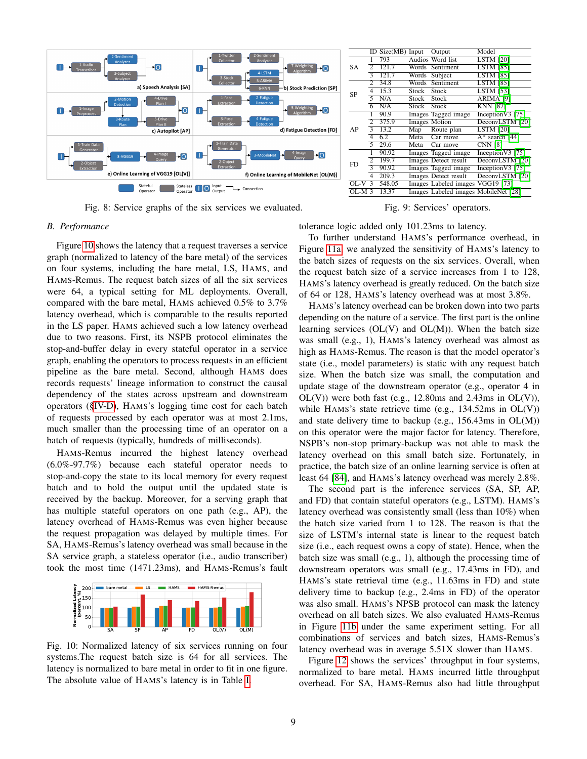<span id="page-8-0"></span>

Fig. 8: Service graphs of the six services we evaluated.

|        |                | $\overline{ID}$ Size(MB) Input |                         | Output                               | Model             |
|--------|----------------|--------------------------------|-------------------------|--------------------------------------|-------------------|
| SA     |                | 793                            |                         | Audios Word list                     | <b>LSTM</b> [20]  |
|        | $\overline{2}$ | 121.7                          | Words                   | Sentiment                            | <b>LSTM [85]</b>  |
|        | 3              | 121.7                          | Words                   | Subject                              | <b>LSTM [85]</b>  |
| SP     | $\mathfrak{D}$ | 34.8                           | Words                   | Sentiment                            | <b>LSTM [85]</b>  |
|        | $\overline{4}$ | 15.3                           | Stock                   | Stock                                | <b>LSTM [53]</b>  |
|        | 5              | N/A                            | <b>Stock</b>            | <b>Stock</b>                         | <b>ARIMA [9]</b>  |
|        | 6              | N/A                            | Stock                   | Stock                                | <b>KNN [87]</b>   |
|        | 1              | 90.9                           |                         | Images Tagged image                  | Inception V3 [75] |
|        | $\overline{2}$ | 375.9                          |                         | <b>Images Motion</b>                 | DeconvLSTM [20]   |
| AP     | 3              | 13.2                           | $\overline{\text{Map}}$ | Route plan                           | <b>LSTM</b> [20]  |
|        | $\overline{4}$ | 6.2                            | Meta                    | Car move                             | $A^*$ search [44] |
|        | 5              | 29.6                           | Meta                    | $Car$ move                           | CNN[8]            |
| FD     |                | $90.\overline{92}$             |                         | Images Tagged image                  | Inception V3 [75] |
|        | $\overline{2}$ | 199.7                          |                         | Images Detect result                 | DeconvLSTM [20]   |
|        | ঽ              | 90.92                          |                         | <b>Images Tagged image</b>           | Inception V3 [75] |
|        | 4              | 209.3                          |                         | <b>Images Detect result</b>          | DeconvLSTM [20]   |
| $OL-V$ | 3              | 548.05                         |                         | Images Labeled images VGG19 [73]     |                   |
| OL-M 3 |                | 13.37                          |                         | Images Labeled images MobileNet [28] |                   |
|        |                |                                |                         |                                      |                   |

Fig. 9: Services' operators.

# <span id="page-8-1"></span>*B. Performance*

Figure [10](#page-8-2) shows the latency that a request traverses a service graph (normalized to latency of the bare metal) of the services on four systems, including the bare metal, LS, HAMS, and HAMS-Remus. The request batch sizes of all the six services were 64, a typical setting for ML deployments. Overall, compared with the bare metal, HAMS achieved 0.5% to 3.7% latency overhead, which is comparable to the results reported in the LS paper. HAMS achieved such a low latency overhead due to two reasons. First, its NSPB protocol eliminates the stop-and-buffer delay in every stateful operator in a service graph, enabling the operators to process requests in an efficient pipeline as the bare metal. Second, although HAMS does records requests' lineage information to construct the causal dependency of the states across upstream and downstream operators ([§IV-D\)](#page-5-0), HAMS's logging time cost for each batch of requests processed by each operator was at most 2.1ms, much smaller than the processing time of an operator on a batch of requests (typically, hundreds of milliseconds).

HAMS-Remus incurred the highest latency overhead (6.0%-97.7%) because each stateful operator needs to stop-and-copy the state to its local memory for every request batch and to hold the output until the updated state is received by the backup. Moreover, for a serving graph that has multiple stateful operators on one path (e.g., AP), the latency overhead of HAMS-Remus was even higher because the request propagation was delayed by multiple times. For SA, HAMS-Remus's latency overhead was small because in the SA service graph, a stateless operator (i.e., audio transcriber) took the most time (1471.23ms), and HAMS-Remus's fault

<span id="page-8-2"></span>

Fig. 10: Normalized latency of six services running on four systems.The request batch size is 64 for all services. The latency is normalized to bare metal in order to fit in one figure. The absolute value of HAMS's latency is in Table [I.](#page-9-2)

tolerance logic added only 101.23ms to latency.

To further understand HAMS's performance overhead, in Figure [11a,](#page-9-3) we analyzed the sensitivity of HAMS's latency to the batch sizes of requests on the six services. Overall, when the request batch size of a service increases from 1 to 128, HAMS's latency overhead is greatly reduced. On the batch size of 64 or 128, HAMS's latency overhead was at most 3.8%.

HAMS's latency overhead can be broken down into two parts depending on the nature of a service. The first part is the online learning services  $(OL(V)$  and  $OL(M))$ . When the batch size was small (e.g., 1), HAMS's latency overhead was almost as high as HAMS-Remus. The reason is that the model operator's state (i.e., model parameters) is static with any request batch size. When the batch size was small, the computation and update stage of the downstream operator (e.g., operator 4 in  $OL(V)$ ) were both fast (e.g., 12.80ms and 2.43ms in  $OL(V)$ ), while HAMS's state retrieve time (e.g.,  $134.52 \text{ms}$  in OL(V)) and state delivery time to backup (e.g., 156.43ms in OL(M)) on this operator were the major factor for latency. Therefore, NSPB's non-stop primary-backup was not able to mask the latency overhead on this small batch size. Fortunately, in practice, the batch size of an online learning service is often at least 64 [\[84\]](#page-12-7), and HAMS's latency overhead was merely 2.8%.

The second part is the inference services (SA, SP, AP, and FD) that contain stateful operators (e.g., LSTM). HAMS's latency overhead was consistently small (less than 10%) when the batch size varied from 1 to 128. The reason is that the size of LSTM's internal state is linear to the request batch size (i.e., each request owns a copy of state). Hence, when the batch size was small (e.g., 1), although the processing time of downstream operators was small (e.g., 17.43ms in FD), and HAMS's state retrieval time (e.g., 11.63ms in FD) and state delivery time to backup (e.g., 2.4ms in FD) of the operator was also small. HAMS's NPSB protocol can mask the latency overhead on all batch sizes. We also evaluated HAMS-Remus in Figure [11b](#page-9-3) under the same experiment setting. For all combinations of services and batch sizes, HAMS-Remus's latency overhead was in average 5.51X slower than HAMS.

Figure [12](#page-9-4) shows the services' throughput in four systems, normalized to bare metal. HAMS incurred little throughput overhead. For SA, HAMS-Remus also had little throughput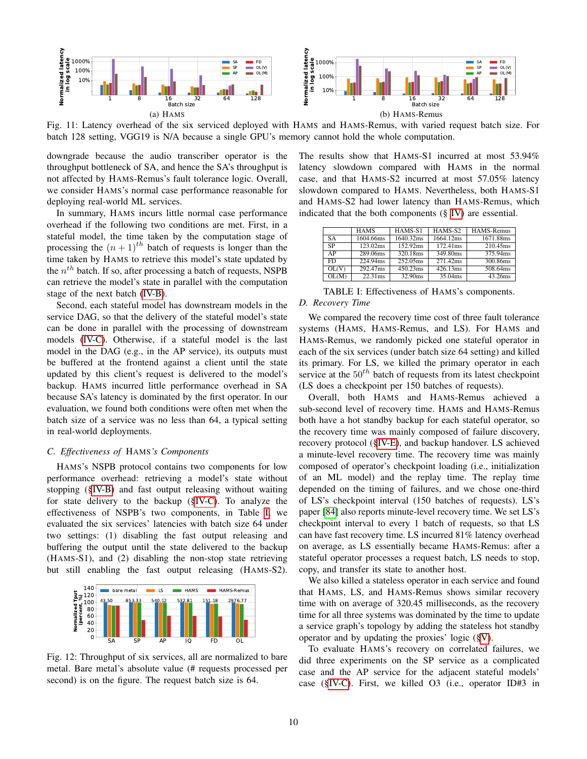<span id="page-9-3"></span>

Fig. 11: Latency overhead of the six serviced deployed with HAMS and HAMS-Remus, with varied request batch size. For batch 128 setting, VGG19 is N/A because a single GPU's memory cannot hold the whole computation.

downgrade because the audio transcriber operator is the throughput bottleneck of SA, and hence the SA's throughput is not affected by HAMS-Remus's fault tolerance logic. Overall, we consider HAMS's normal case performance reasonable for deploying real-world ML services.

In summary, HAMS incurs little normal case performance overhead if the following two conditions are met. First, in a stateful model, the time taken by the computation stage of processing the  $(n + 1)^{th}$  batch of requests is longer than the time taken by HAMS to retrieve this model's state updated by the  $n^{th}$  batch. If so, after processing a batch of requests, NSPB can retrieve the model's state in parallel with the computation stage of the next batch [\(IV-B\)](#page-4-4).

Second, each stateful model has downstream models in the service DAG, so that the delivery of the stateful model's state can be done in parallel with the processing of downstream models [\(IV-C\)](#page-4-1). Otherwise, if a stateful model is the last model in the DAG (e.g., in the AP service), its outputs must be buffered at the frontend against a client until the state updated by this client's request is delivered to the model's backup. HAMS incurred little performance overhead in SA because SA's latency is dominated by the first operator. In our evaluation, we found both conditions were often met when the batch size of a service was no less than 64, a typical setting in real-world deployments.

## <span id="page-9-1"></span>*C. Effectiveness of* HAMS*'s Components*

HAMS's NSPB protocol contains two components for low performance overhead: retrieving a model's state without stopping ([§IV-B\)](#page-4-4) and fast output releasing without waiting for state delivery to the backup ([§IV-C\)](#page-4-1). To analyze the effectiveness of NSPB's two components, in Table [I,](#page-9-2) we evaluated the six services' latencies with batch size 64 under two settings: (1) disabling the fast output releasing and buffering the output until the state delivered to the backup (HAMS-S1), and (2) disabling the non-stop state retrieving but still enabling the fast output releasing (HAMS-S2).

<span id="page-9-4"></span>

Fig. 12: Throughput of six services, all are normalized to bare metal. Bare metal's absolute value (# requests processed per second) is on the figure. The request batch size is 64.

The results show that HAMS-S1 incurred at most 53.94% latency slowdown compared with HAMS in the normal case, and that HAMS-S2 incurred at most 57.05% latency slowdown compared to HAMS. Nevertheless, both HAMS-S1 and HAMS-S2 had lower latency than HAMS-Remus, which indicated that the both components (§ [IV\)](#page-4-0) are essential.

<span id="page-9-2"></span>

|       | <b>HAMS</b> | HAMS-S1              | HAMS-S <sub>2</sub> | HAMS-Remus |
|-------|-------------|----------------------|---------------------|------------|
| SА    | 1604.66ms   | 1640.32ms            | 1664.12ms           | 1671.88ms  |
| SP    | 123.02ms    | 152.92ms             | $172.41$ ms         | 210.45ms   |
| ΑP    | 289.06ms    | 320.18ms             | 349.80ms            | 375.94ms   |
| FD.   | 224.94ms    | 252.05 <sub>ms</sub> | 271.42ms            | 300.86ms   |
| OL(V) | 292.47ms    | 450.23ms             | 426.13ms            | 508.64ms   |
| OL(M) | 22.31ms     | 32.90ms              | 35.04ms             | 43.26ms    |

TABLE I: Effectiveness of HAMS's components.

# <span id="page-9-0"></span>*D. Recovery Time*

We compared the recovery time cost of three fault tolerance systems (HAMS, HAMS-Remus, and LS). For HAMS and HAMS-Remus, we randomly picked one stateful operator in each of the six services (under batch size 64 setting) and killed its primary. For LS, we killed the primary operator in each service at the  $50<sup>th</sup>$  batch of requests from its latest checkpoint (LS does a checkpoint per 150 batches of requests).

Overall, both HAMS and HAMS-Remus achieved a sub-second level of recovery time. HAMS and HAMS-Remus both have a hot standby backup for each stateful operator, so the recovery time was mainly composed of failure discovery, recovery protocol ([§IV-E\)](#page-6-0), and backup handover. LS achieved a minute-level recovery time. The recovery time was mainly composed of operator's checkpoint loading (i.e., initialization of an ML model) and the replay time. The replay time depended on the timing of failures, and we chose one-third of LS's checkpoint interval (150 batches of requests). LS's paper [\[84\]](#page-12-7) also reports minute-level recovery time. We set LS's checkpoint interval to every 1 batch of requests, so that LS can have fast recovery time. LS incurred 81% latency overhead on average, as LS essentially became HAMS-Remus: after a stateful operator processes a request batch, LS needs to stop, copy, and transfer its state to another host.

We also killed a stateless operator in each service and found that HAMS, LS, and HAMS-Remus shows similar recovery time with on average of 320.45 milliseconds, as the recovery time for all three systems was dominated by the time to update a service graph's topology by adding the stateless hot standby operator and by updating the proxies' logic ([§V\)](#page-7-0).

To evaluate HAMS's recovery on correlated failures, we did three experiments on the SP service as a complicated case and the AP service for the adjacent stateful models' case ([§IV-C\)](#page-4-1). First, we killed O3 (i.e., operator ID#3 in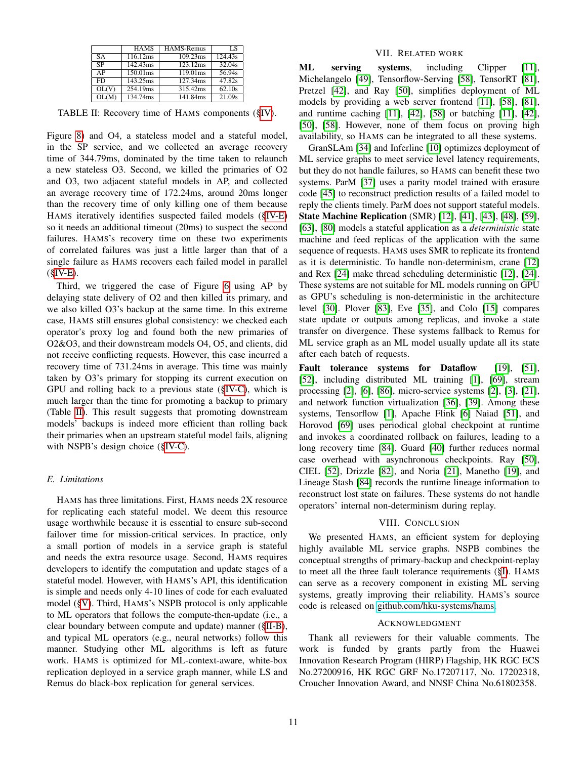<span id="page-10-3"></span>

|           | <b>HAMS</b> | <b>HAMS-Remus</b> | LS                  |
|-----------|-------------|-------------------|---------------------|
| <b>SA</b> | 116.12ms    | 109.23ms          | 124.43s             |
| SP        | $142.43$ ms | 123.12ms          | 32.04s              |
| AP        | 150.01ms    | $119.01$ ms       | 56.94s              |
| FD        | 143.25ms    | 127.34ms          | 47.82s              |
| OL(V)     | 254.19ms    | 315.42ms          | $\overline{62.10s}$ |
| OL(M)     | 134.74ms    | 141.84ms          | 21.09s              |

TABLE II: Recovery time of HAMS components ([§IV\)](#page-4-0).

Figure [8\)](#page-8-0) and O4, a stateless model and a stateful model, in the SP service, and we collected an average recovery time of 344.79ms, dominated by the time taken to relaunch a new stateless O3. Second, we killed the primaries of O2 and O3, two adjacent stateful models in AP, and collected an average recovery time of 172.24ms, around 20ms longer than the recovery time of only killing one of them because HAMS iteratively identifies suspected failed models ([§IV-E\)](#page-6-0) so it needs an additional timeout (20ms) to suspect the second failures. HAMS's recovery time on these two experiments of correlated failures was just a little larger than that of a single failure as HAMS recovers each failed model in parallel  $(**§ IV-E**).$ 

Third, we triggered the case of Figure [6](#page-5-1) using AP by delaying state delivery of O2 and then killed its primary, and we also killed O3's backup at the same time. In this extreme case, HAMS still ensures global consistency: we checked each operator's proxy log and found both the new primaries of O2&O3, and their downstream models O4, O5, and clients, did not receive conflicting requests. However, this case incurred a recovery time of 731.24ms in average. This time was mainly taken by O3's primary for stopping its current execution on GPU and rolling back to a previous state ([§IV-C\)](#page-4-1), which is much larger than the time for promoting a backup to primary (Table [II\)](#page-10-3). This result suggests that promoting downstream models' backups is indeed more efficient than rolling back their primaries when an upstream stateful model fails, aligning with NSPB's design choice ([§IV-C\)](#page-4-1).

# <span id="page-10-2"></span>*E. Limitations*

HAMS has three limitations. First, HAMS needs 2X resource for replicating each stateful model. We deem this resource usage worthwhile because it is essential to ensure sub-second failover time for mission-critical services. In practice, only a small portion of models in a service graph is stateful and needs the extra resource usage. Second, HAMS requires developers to identify the computation and update stages of a stateful model. However, with HAMS's API, this identification is simple and needs only 4-10 lines of code for each evaluated model ([§V\)](#page-7-0). Third, HAMS's NSPB protocol is only applicable to ML operators that follows the compute-then-update (i.e., a clear boundary between compute and update) manner ([§II-B\)](#page-2-1), and typical ML operators (e.g., neural networks) follow this manner. Studying other ML algorithms is left as future work. HAMS is optimized for ML-context-aware, white-box replication deployed in a service graph manner, while LS and Remus do black-box replication for general services.

# VII. RELATED WORK

<span id="page-10-0"></span>ML serving systems, including Clipper [\[11\]](#page-11-8), Michelangelo [\[49\]](#page-12-35), Tensorflow-Serving [\[58\]](#page-12-12), TensorRT [\[81\]](#page-12-19), Pretzel [\[42\]](#page-11-31), and Ray [\[50\]](#page-12-10), simplifies deployment of ML models by providing a web server frontend [\[11\]](#page-11-8), [\[58\]](#page-12-12), [\[81\]](#page-12-19), and runtime caching [\[11\]](#page-11-8), [\[42\]](#page-11-31), [\[58\]](#page-12-12) or batching [\[11\]](#page-11-8), [\[42\]](#page-11-31), [\[50\]](#page-12-10), [\[58\]](#page-12-12). However, none of them focus on proving high availability, so HAMS can be integrated to all these systems.

GranSLAm [\[34\]](#page-11-1) and Inferline [\[10\]](#page-11-0) optimizes deployment of ML service graphs to meet service level latency requirements, but they do not handle failures, so HAMS can benefit these two systems. ParM [\[37\]](#page-11-32) uses a parity model trained with erasure code [\[45\]](#page-11-33) to reconstruct prediction results of a failed model to reply the clients timely. ParM does not support stateful models. State Machine Replication (SMR) [\[12\]](#page-11-34), [\[41\]](#page-11-35), [\[43\]](#page-11-36), [\[48\]](#page-12-36), [\[59\]](#page-12-22), [\[63\]](#page-12-37), [\[80\]](#page-12-38) models a stateful application as a *deterministic* state machine and feed replicas of the application with the same sequence of requests. HAMS uses SMR to replicate its frontend as it is deterministic. To handle non-determinism, crane [\[12\]](#page-11-34) and Rex [\[24\]](#page-11-37) make thread scheduling deterministic [\[12\]](#page-11-34), [\[24\]](#page-11-37). These systems are not suitable for ML models running on GPU as GPU's scheduling is non-deterministic in the architecture level [\[30\]](#page-11-38). Plover [\[83\]](#page-12-25), Eve [\[35\]](#page-11-39), and Colo [\[15\]](#page-11-20) compares state update or outputs among replicas, and invoke a state transfer on divergence. These systems fallback to Remus for ML service graph as an ML model usually update all its state after each batch of requests.

Fault tolerance systems for Dataflow [\[19\]](#page-11-40), [\[51\]](#page-12-39), [\[52\]](#page-12-11), including distributed ML training [\[1\]](#page-11-4), [\[69\]](#page-12-40), stream processing [\[2\]](#page-11-41), [\[6\]](#page-11-5), [\[86\]](#page-12-8), micro-service systems [\[2\]](#page-11-41), [\[3\]](#page-11-42), [\[21\]](#page-11-6), and network function virtualization [\[36\]](#page-11-21), [\[39\]](#page-11-43). Among these systems, Tensorflow [\[1\]](#page-11-4), Apache Flink [\[6\]](#page-11-5) Naiad [\[51\]](#page-12-39), and Horovod [\[69\]](#page-12-40) uses periodical global checkpoint at runtime and invokes a coordinated rollback on failures, leading to a long recovery time [\[84\]](#page-12-7). Guard [\[40\]](#page-11-44) further reduces normal case overhead with asynchronous checkpoints. Ray [\[50\]](#page-12-10), CIEL [\[52\]](#page-12-11), Drizzle [\[82\]](#page-12-41), and Noria [\[21\]](#page-11-6), Manetho [\[19\]](#page-11-40), and Lineage Stash [\[84\]](#page-12-7) records the runtime lineage information to reconstruct lost state on failures. These systems do not handle operators' internal non-determinism during replay.

## VIII. CONCLUSION

<span id="page-10-1"></span>We presented HAMS, an efficient system for deploying highly available ML service graphs. NSPB combines the conceptual strengths of primary-backup and checkpoint-replay to meet all the three fault tolerance requirements ([§I\)](#page-0-0). HAMS can serve as a recovery component in existing ML serving systems, greatly improving their reliability. HAMS's source code is released on [github.com/hku-systems/hams.](github.com/hku-systems/hams)

#### ACKNOWLEDGMENT

Thank all reviewers for their valuable comments. The work is funded by grants partly from the Huawei Innovation Research Program (HIRP) Flagship, HK RGC ECS No.27200916, HK RGC GRF No.17207117, No. 17202318, Croucher Innovation Award, and NNSF China No.61802358.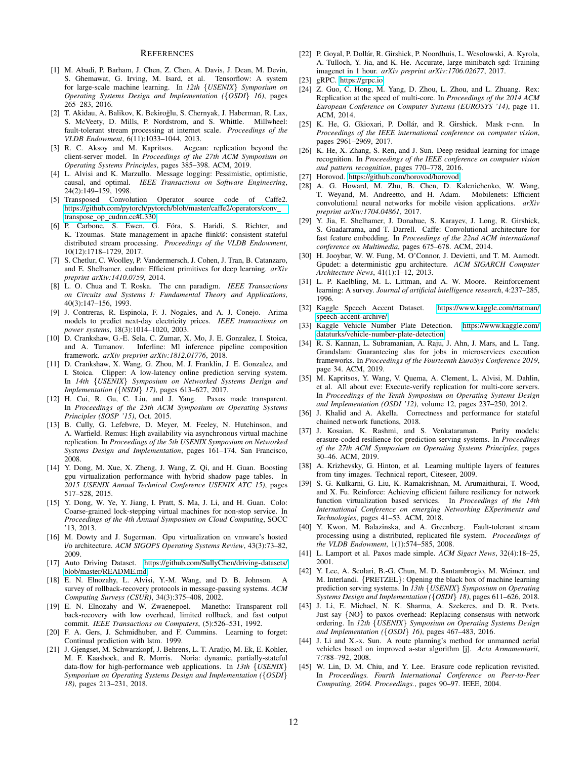# **REFERENCES**

- <span id="page-11-4"></span>[1] M. Abadi, P. Barham, J. Chen, Z. Chen, A. Davis, J. Dean, M. Devin, S. Ghemawat, G. Irving, M. Isard, et al. Tensorflow: A system for large-scale machine learning. In *12th* {*USENIX*} *Symposium on Operating Systems Design and Implementation (*{*OSDI*} *16)*, pages 265–283, 2016.
- <span id="page-11-41"></span>[2] T. Akidau, A. Balikov, K. Bekiroğlu, S. Chernyak, J. Haberman, R. Lax, S. McVeety, D. Mills, P. Nordstrom, and S. Whittle. Millwheel: fault-tolerant stream processing at internet scale. *Proceedings of the VLDB Endowment*, 6(11):1033–1044, 2013.
- <span id="page-11-42"></span>[3] R. C. Aksoy and M. Kapritsos. Aegean: replication beyond the client-server model. In *Proceedings of the 27th ACM Symposium on Operating Systems Principles*, pages 385–398. ACM, 2019.
- <span id="page-11-3"></span>[4] L. Alvisi and K. Marzullo. Message logging: Pessimistic, optimistic, causal, and optimal. *IEEE Transactions on Software Engineering*, 24(2):149–159, 1998.
- <span id="page-11-12"></span>[5] Transposed Convolution Operator source code of Caffe2. [https://github.com/pytorch/pytorch/blob/master/caffe2/operators/conv](https://github.com/pytorch/pytorch/blob/master/caffe2/operators/conv_transpose_op_cudnn.cc#L330) transpose\_op\_[cudnn.cc#L330.](https://github.com/pytorch/pytorch/blob/master/caffe2/operators/conv_transpose_op_cudnn.cc#L330)
- <span id="page-11-5"></span>[6] P. Carbone, S. Ewen, G. Fóra, S. Haridi, S. Richter, and K. Tzoumas. State management in apache flink®: consistent stateful distributed stream processing. *Proceedings of the VLDB Endowment*, 10(12):1718–1729, 2017.
- <span id="page-11-13"></span>[7] S. Chetlur, C. Woolley, P. Vandermersch, J. Cohen, J. Tran, B. Catanzaro, and E. Shelhamer. cudnn: Efficient primitives for deep learning. *arXiv preprint arXiv:1410.0759*, 2014.
- <span id="page-11-9"></span>[8] L. O. Chua and T. Roska. The cnn paradigm. *IEEE Transactions on Circuits and Systems I: Fundamental Theory and Applications*, 40(3):147–156, 1993.
- <span id="page-11-28"></span>[9] J. Contreras, R. Espinola, F. J. Nogales, and A. J. Conejo. Arima models to predict next-day electricity prices. *IEEE transactions on power systems*, 18(3):1014–1020, 2003.
- <span id="page-11-0"></span>[10] D. Crankshaw, G.-E. Sela, C. Zumar, X. Mo, J. E. Gonzalez, I. Stoica, and A. Tumanov. Inferline: Ml inference pipeline composition framework. *arXiv preprint arXiv:1812.01776*, 2018.
- <span id="page-11-8"></span>[11] D. Crankshaw, X. Wang, G. Zhou, M. J. Franklin, J. E. Gonzalez, and I. Stoica. Clipper: A low-latency online prediction serving system. In *14th* {*USENIX*} *Symposium on Networked Systems Design and Implementation (*{*NSDI*} *17)*, pages 613–627, 2017.
- <span id="page-11-34"></span>[12] H. Cui, R. Gu, C. Liu, and J. Yang. Paxos made transparent. In *Proceedings of the 25th ACM Symposium on Operating Systems Principles (SOSP '15)*, Oct. 2015.
- <span id="page-11-7"></span>[13] B. Cully, G. Lefebvre, D. Meyer, M. Feeley, N. Hutchinson, and A. Warfield. Remus: High availability via asynchronous virtual machine replication. In *Proceedings of the 5th USENIX Symposium on Networked Systems Design and Implementation*, pages 161–174. San Francisco, 2008.
- <span id="page-11-18"></span>[14] Y. Dong, M. Xue, X. Zheng, J. Wang, Z. Qi, and H. Guan. Boosting gpu virtualization performance with hybrid shadow page tables. In *2015 USENIX Annual Technical Conference USENIX ATC 15)*, pages 517–528, 2015.
- <span id="page-11-20"></span>[15] Y. Dong, W. Ye, Y. Jiang, I. Pratt, S. Ma, J. Li, and H. Guan. Colo: Coarse-grained lock-stepping virtual machines for non-stop service. In *Proceedings of the 4th Annual Symposium on Cloud Computing*, SOCC '13, 2013.
- <span id="page-11-19"></span>[16] M. Dowty and J. Sugerman. Gpu virtualization on vmware's hosted i/o architecture. *ACM SIGOPS Operating Systems Review*, 43(3):73–82, 2009.
- <span id="page-11-26"></span>[17] Auto Driving Dataset. [https://github.com/SullyChen/driving-datasets/](https://github.com/SullyChen/driving-datasets/blob/master/README.md) [blob/master/README.md.](https://github.com/SullyChen/driving-datasets/blob/master/README.md)
- <span id="page-11-22"></span>[18] E. N. Elnozahy, L. Alvisi, Y.-M. Wang, and D. B. Johnson. A survey of rollback-recovery protocols in message-passing systems. *ACM Computing Surveys (CSUR)*, 34(3):375–408, 2002.
- <span id="page-11-40"></span>[19] E. N. Elnozahy and W. Zwaenepoel. Manetho: Transparent roll back-recovery with low overhead, limited rollback, and fast output commit. *IEEE Transactions on Computers*, (5):526–531, 1992.
- <span id="page-11-2"></span>[20] F. A. Gers, J. Schmidhuber, and F. Cummins. Learning to forget: Continual prediction with lstm. 1999.
- <span id="page-11-6"></span>[21] J. Gjengset, M. Schwarzkopf, J. Behrens, L. T. Araújo, M. Ek, E. Kohler, M. F. Kaashoek, and R. Morris. Noria: dynamic, partially-stateful data-flow for high-performance web applications. In *13th* {*USENIX*} *Symposium on Operating Systems Design and Implementation (*{*OSDI*} *18)*, pages 213–231, 2018.
- <span id="page-11-27"></span>[22] P. Goyal, P. Dollár, R. Girshick, P. Noordhuis, L. Wesolowski, A. Kyrola, A. Tulloch, Y. Jia, and K. He. Accurate, large minibatch sgd: Training imagenet in 1 hour. *arXiv preprint arXiv:1706.02677*, 2017.
- <span id="page-11-23"></span>[23] gRPC. [https://grpc.io.](https://grpc.io)
- <span id="page-11-37"></span>[24] Z. Guo, C. Hong, M. Yang, D. Zhou, L. Zhou, and L. Zhuang. Rex: Replication at the speed of multi-core. In *Proceedings of the 2014 ACM European Conference on Computer Systems (EUROSYS '14)*, page 11. ACM, 2014.
- <span id="page-11-16"></span>[25] K. He, G. Gkioxari, P. Dollár, and R. Girshick. Mask r-cnn. In *Proceedings of the IEEE international conference on computer vision*, pages 2961–2969, 2017.
- <span id="page-11-10"></span>[26] K. He, X. Zhang, S. Ren, and J. Sun. Deep residual learning for image recognition. In *Proceedings of the IEEE conference on computer vision and pattern recognition*, pages 770–778, 2016.
- <span id="page-11-14"></span>[27] Horovod. [https://github.com/horovod/horovod.](https://github.com/horovod/horovod)
- <span id="page-11-30"></span>[28] A. G. Howard, M. Zhu, B. Chen, D. Kalenichenko, W. Wang, T. Weyand, M. Andreetto, and H. Adam. Mobilenets: Efficient convolutional neural networks for mobile vision applications. *arXiv preprint arXiv:1704.04861*, 2017.
- <span id="page-11-11"></span>[29] Y. Jia, E. Shelhamer, J. Donahue, S. Karayev, J. Long, R. Girshick, S. Guadarrama, and T. Darrell. Caffe: Convolutional architecture for fast feature embedding. In *Proceedings of the 22nd ACM international conference on Multimedia*, pages 675–678. ACM, 2014.
- <span id="page-11-38"></span>[30] H. Jooybar, W. W. Fung, M. O'Connor, J. Devietti, and T. M. Aamodt. Gpudet: a deterministic gpu architecture. *ACM SIGARCH Computer Architecture News*, 41(1):1–12, 2013.
- <span id="page-11-17"></span>[31] L. P. Kaelbling, M. L. Littman, and A. W. Moore. Reinforcement learning: A survey. *Journal of artificial intelligence research*, 4:237–285, 1996.
- <span id="page-11-25"></span>[32] Kaggle Speech Accent Dataset. [https://www.kaggle.com/rtatman/](https://www.kaggle.com/rtatman/speech-accent-archive/) [speech-accent-archive/.](https://www.kaggle.com/rtatman/speech-accent-archive/)
- <span id="page-11-15"></span>[33] Kaggle Vehicle Number Plate Detection. [https://www.kaggle.com/](https://www.kaggle.com/dataturks/vehicle-number-plate-detection) [dataturks/vehicle-number-plate-detection.](https://www.kaggle.com/dataturks/vehicle-number-plate-detection)
- <span id="page-11-1"></span>[34] R. S. Kannan, L. Subramanian, A. Raju, J. Ahn, J. Mars, and L. Tang. Grandslam: Guaranteeing slas for jobs in microservices execution frameworks. In *Proceedings of the Fourteenth EuroSys Conference 2019*, page 34. ACM, 2019.
- <span id="page-11-39"></span>[35] M. Kapritsos, Y. Wang, V. Quema, A. Clement, L. Alvisi, M. Dahlin, et al. All about eve: Execute-verify replication for multi-core servers. In *Proceedings of the Tenth Symposium on Operating Systems Design and Implementation (OSDI '12)*, volume 12, pages 237–250, 2012.
- <span id="page-11-21"></span>[36] J. Khalid and A. Akella. Correctness and performance for stateful chained network functions, 2018.
- <span id="page-11-32"></span>[37] J. Kosaian, K. Rashmi, and S. Venkataraman. Parity models: erasure-coded resilience for prediction serving systems. In *Proceedings of the 27th ACM Symposium on Operating Systems Principles*, pages 30–46. ACM, 2019.
- <span id="page-11-24"></span>[38] A. Krizhevsky, G. Hinton, et al. Learning multiple layers of features from tiny images. Technical report, Citeseer, 2009.
- <span id="page-11-43"></span>[39] S. G. Kulkarni, G. Liu, K. Ramakrishnan, M. Arumaithurai, T. Wood, and X. Fu. Reinforce: Achieving efficient failure resiliency for network function virtualization based services. In *Proceedings of the 14th International Conference on emerging Networking EXperiments and Technologies*, pages 41–53. ACM, 2018.
- <span id="page-11-44"></span>[40] Y. Kwon, M. Balazinska, and A. Greenberg. Fault-tolerant stream processing using a distributed, replicated file system. *Proceedings of the VLDB Endowment*, 1(1):574–585, 2008.
- <span id="page-11-35"></span>[41] L. Lamport et al. Paxos made simple. *ACM Sigact News*, 32(4):18–25, 2001.
- <span id="page-11-31"></span>[42] Y. Lee, A. Scolari, B.-G. Chun, M. D. Santambrogio, M. Weimer, and M. Interlandi. {PRETZEL}: Opening the black box of machine learning prediction serving systems. In *13th* {*USENIX*} *Symposium on Operating Systems Design and Implementation (*{*OSDI*} *18)*, pages 611–626, 2018.
- <span id="page-11-36"></span>[43] J. Li, E. Michael, N. K. Sharma, A. Szekeres, and D. R. Ports. Just say {NO} to paxos overhead: Replacing consensus with network ordering. In *12th* {*USENIX*} *Symposium on Operating Systems Design and Implementation (*{*OSDI*} *16)*, pages 467–483, 2016.
- <span id="page-11-29"></span>[44] J. Li and X.-x. Sun. A route planning's method for unmanned aerial vehicles based on improved a-star algorithm [j]. *Acta Armamentarii*, 7:788–792, 2008.
- <span id="page-11-33"></span>[45] W. Lin, D. M. Chiu, and Y. Lee. Erasure code replication revisited. In *Proceedings. Fourth International Conference on Peer-to-Peer Computing, 2004. Proceedings.*, pages 90–97. IEEE, 2004.